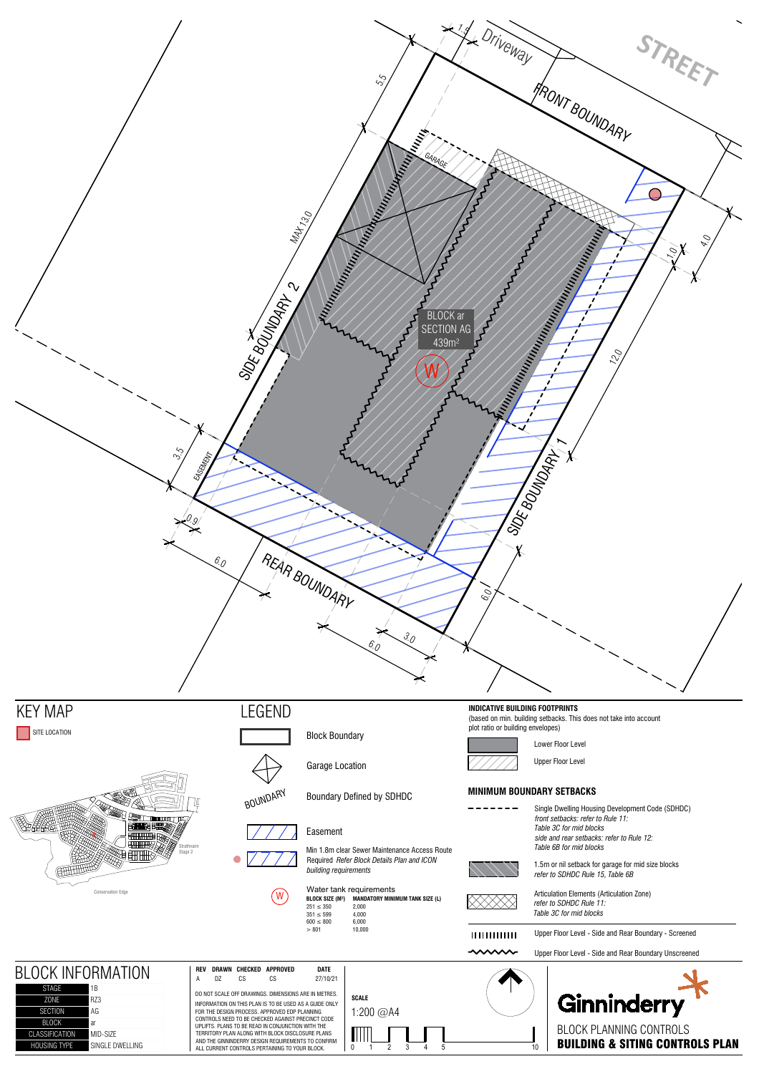